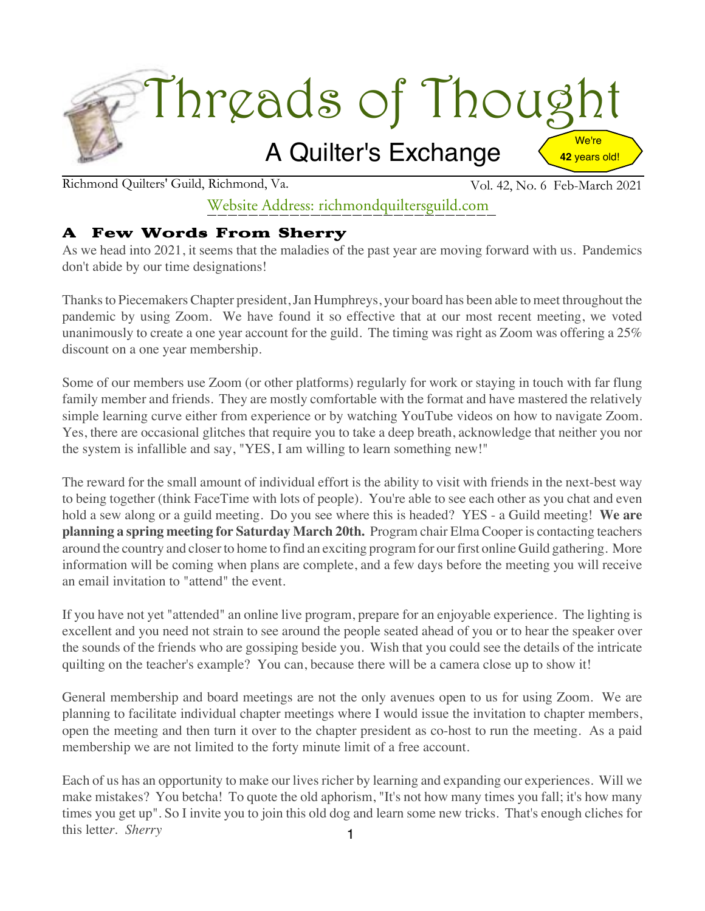

Richmond Quilters' Guild, Richmond, Va. Vol. 42, No. 6 Feb-March 2021

## Website Address: richmondquiltersguild.com

#### A Few Words From Sherry

As we head into 2021, it seems that the maladies of the past year are moving forward with us. Pandemics don't abide by our time designations!

Thanksto Piecemakers Chapter president,Jan Humphreys, your board has been able to meet throughout the pandemic by using Zoom. We have found it so effective that at our most recent meeting, we voted unanimously to create a one year account for the guild. The timing was right as Zoom was offering a 25% discount on a one year membership.

Some of our members use Zoom (or other platforms) regularly for work or staying in touch with far flung family member and friends. They are mostly comfortable with the format and have mastered the relatively simple learning curve either from experience or by watching YouTube videos on how to navigate Zoom. Yes, there are occasional glitches that require you to take a deep breath, acknowledge that neither you nor the system is infallible and say, "YES, I am willing to learn something new!"

The reward for the small amount of individual effort is the ability to visit with friends in the next-best way to being together (think FaceTime with lots of people). You're able to see each other as you chat and even hold a sew along or a guild meeting. Do you see where this is headed? YES - a Guild meeting! **We are planning a spring meeting for Saturday March 20th.** Program chair Elma Cooper is contacting teachers around the country and closer to home to find an exciting program for our first online Guild gathering. More information will be coming when plans are complete, and a few days before the meeting you will receive an email invitation to "attend" the event.

If you have not yet "attended" an online live program, prepare for an enjoyable experience. The lighting is excellent and you need not strain to see around the people seated ahead of you or to hear the speaker over the sounds of the friends who are gossiping beside you. Wish that you could see the details of the intricate quilting on the teacher's example? You can, because there will be a camera close up to show it!

General membership and board meetings are not the only avenues open to us for using Zoom. We are planning to facilitate individual chapter meetings where I would issue the invitation to chapter members, open the meeting and then turn it over to the chapter president as co-host to run the meeting. As a paid membership we are not limited to the forty minute limit of a free account.

1 Each of us has an opportunity to make our lives richer by learning and expanding our experiences. Will we make mistakes? You betcha! To quote the old aphorism, "It's not how many times you fall; it's how many times you get up". So I invite you to join this old dog and learn some new tricks. That's enough cliches for this lette*r. Sherry*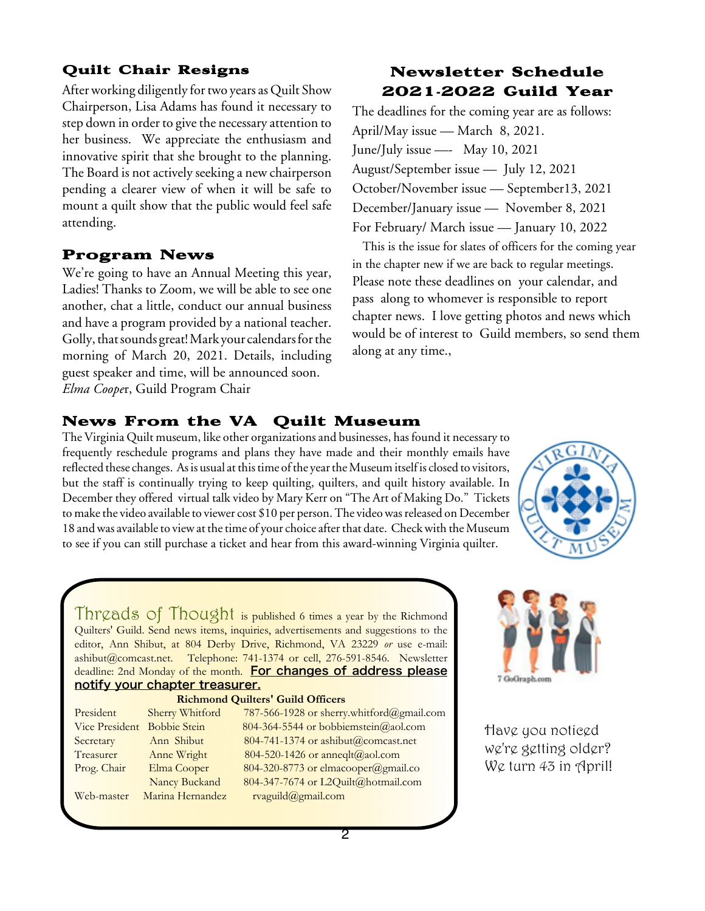#### Quilt Chair Resigns

After working diligently for two years as Quilt Show Chairperson, Lisa Adams has found it necessary to step down in order to give the necessary attention to her business. We appreciate the enthusiasm and innovative spirit that she brought to the planning. The Board is not actively seeking a new chairperson pending a clearer view of when it will be safe to mount a quilt show that the public would feel safe attending.

#### Program News

We're going to have an Annual Meeting this year, Ladies! Thanks to Zoom, we will be able to see one another, chat a little, conduct our annual business and have a program provided by a national teacher. Golly, that sounds great! Mark your calendars for the morning of March 20, 2021. Details, including guest speaker and time, will be announced soon. *Elma Coope*r, Guild Program Chair

### Newsletter Schedule 2021**-**2022 Guild Year

The deadlines for the coming year are as follows: April/May issue — March 8, 2021. June/July issue —- May 10, 2021 August/September issue — July 12, 2021 October/November issue — September13, 2021 December/January issue — November 8, 2021 For February/ March issue — January 10, 2022

This is the issue for slates of officers for the coming year in the chapter new if we are back to regular meetings. Please note these deadlines on your calendar, and pass along to whomever is responsible to report chapter news. I love getting photos and news which would be of interest to Guild members, so send them along at any time.,

#### News From the VA Quilt Museum

The Virginia Quilt museum, like other organizations and businesses, has found it necessary to frequently reschedule programs and plans they have made and their monthly emails have reflected these changes. As is usual at this time of the year the Museum itself is closed to visitors, but the staff is continually trying to keep quilting, quilters, and quilt history available. In December they offered virtual talk video by Mary Kerr on "The Art of Making Do." Tickets to make the video available to viewer cost \$10 per person. The video was released on December 18 and was available to view at the time of your choice after that date. Check with the Museum to see if you can still purchase a ticket and hear from this award-winning Virginia quilter.



Threads of Thought is published <sup>6</sup> times <sup>a</sup> year by the Richmond Quilters' Guild. Send news items, inquiries, advertisements and suggestions to the editor, Ann Shibut, at 804 Derby Drive, Richmond, VA 23229 *or* use e-mail: ashibut@comcast.net. Telephone: 741-1374 or cell, 276-591-8546. Newsletter deadline: 2nd Monday of the month. For changes of address please notify your chapter treasurer.

#### **Richmond Quilters' Guild Officers**

| President                   | Sherry Whitford  | 787-566-1928 or sherry.whitford@gmail.com |
|-----------------------------|------------------|-------------------------------------------|
| Vice President Bobbie Stein |                  | 804-364-5544 or bobbiemstein@aol.com      |
| Secretary                   | Ann Shibut       | 804-741-1374 or ashibut@comcast.net       |
| Treasurer                   | Anne Wright      | 804-520-1426 or anneqlt@aol.com           |
| Prog. Chair                 | Elma Cooper      | 804-320-8773 or elmacooper@gmail.co       |
|                             | Nancy Buckand    | 804-347-7674 or L2Quilt@hotmail.com       |
| Web-master                  | Marina Hernandez | rvaguild@gmail.com                        |



Have you noticed we're getting older? We turn 43 in April!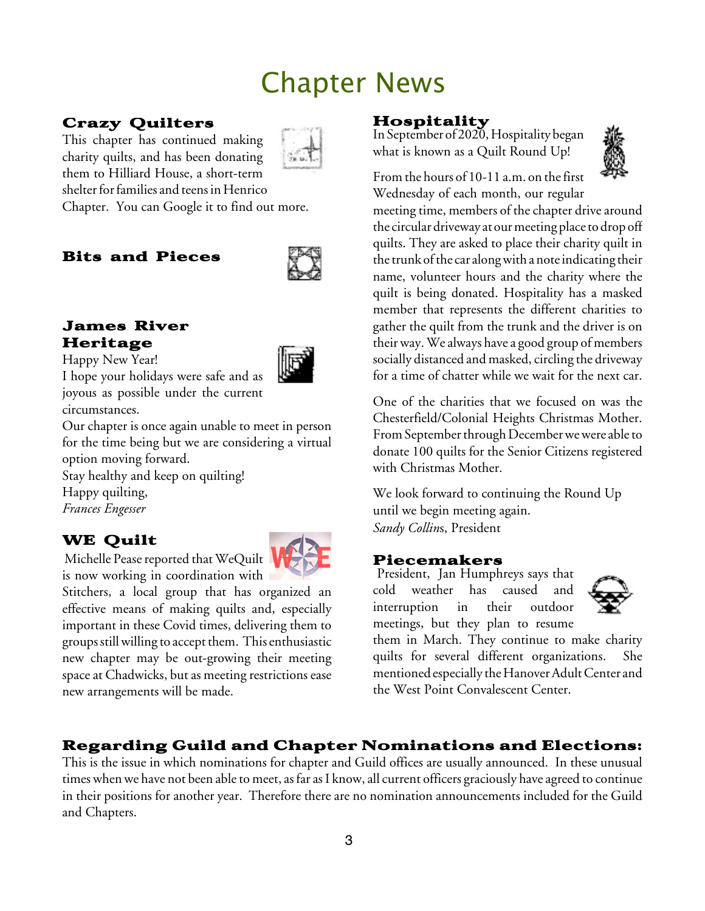# Chapter News

## Crazy Quilters



This chapter has continued making charity quilts, and has been donating them to Hilliard House, a short-term shelter for families and teens in Henrico

Chapter. You can Google it to find out more.

## Bits and Pieces



#### James River Heritage

Happy New Year!

I hope your holidays were safe and as joyous as possible under the current circumstances.

Our chapter is once again unable to meet in person for the time being but we are considering a virtual option moving forward.

Stay healthy and keep on quilting!

Happy quilting, *Frances Engesser*

## WE Quilt

Michelle Pease reported that WeQuilt is now working in coordination with

Stitchers, a local group that has organized an effective means of making quilts and, especially important in these Covid times, delivering them to groups still willing to accept them. This enthusiastic new chapter may be out-growing their meeting space at Chadwicks, but as meeting restrictions ease new arrangements will be made.

#### Hospitality

In September of 2020, Hospitality began what is known as a Quilt Round Up!



From the hours of 10-11 a.m. on the first Wednesday of each month, our regular

meeting time, members of the chapter drive around the circular driveway at our meeting place to drop off quilts. They are asked to place their charity quilt in the trunk of the car along with a note indicating their name, volunteer hours and the charity where the quilt is being donated. Hospitality has a masked member that represents the different charities to gather the quilt from the trunk and the driver is on their way. We always have a good group of members socially distanced and masked, circling the driveway for a time of chatter while we wait for the next car.

One of the charities that we focused on was the Chesterfield/Colonial Heights Christmas Mother. From September through December we were able to donate 100 quilts for the Senior Citizens registered with Christmas Mother.

We look forward to continuing the Round Up until we begin meeting again. *Sandy Collin*s, President

#### Piecemakers

President, Jan Humphreys says that cold weather has caused and interruption in their outdoor meetings, but they plan to resume



them in March. They continue to make charity quilts for several different organizations. She mentioned especially the Hanover Adult Center and the West Point Convalescent Center.

## Regarding Guild and Chapter Nominations and Elections:

This is the issue in which nominations for chapter and Guild offices are usually announced. In these unusual times when we have not been able to meet, as far as I know, all current officers graciously have agreed to continue in their positions for another year. Therefore there are no nomination announcements included for the Guild and Chapters.

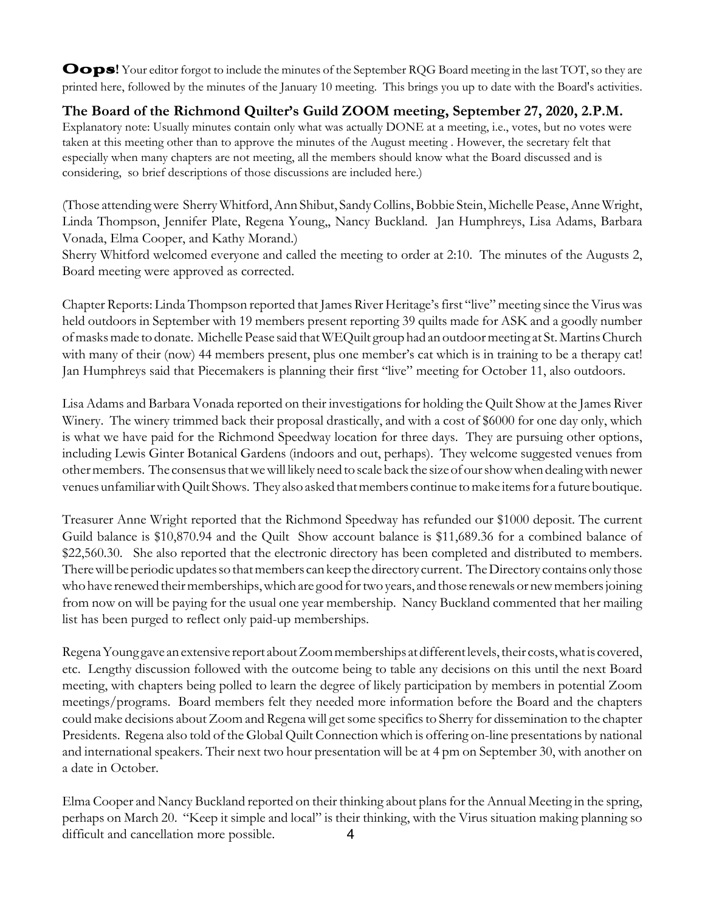Oops! Your editor forgot to include the minutes of the September RQG Board meeting in the last TOT, so they are printed here, followed by the minutes of the January 10 meeting. This brings you up to date with the Board's activities.

#### **The Board of the Richmond Quilter's Guild ZOOM meeting, September 27, 2020, 2.P.M.**

Explanatory note: Usually minutes contain only what was actually DONE at a meeting, i.e., votes, but no votes were taken at this meeting other than to approve the minutes of the August meeting . However, the secretary felt that especially when many chapters are not meeting, all the members should know what the Board discussed and is considering, so brief descriptions of those discussions are included here.)

(Those attendingwere Sherry Whitford,Ann Shibut, SandyCollins,Bobbie Stein, Michelle Pease,Anne Wright, Linda Thompson, Jennifer Plate, Regena Young,, Nancy Buckland. Jan Humphreys, Lisa Adams, Barbara Vonada, Elma Cooper, and Kathy Morand.)

Sherry Whitford welcomed everyone and called the meeting to order at 2:10. The minutes of the Augusts 2, Board meeting were approved as corrected.

Chapter Reports: Linda Thompson reported that James River Heritage's first "live" meeting since the Virus was held outdoors in September with 19 members present reporting 39 quilts made for ASK and a goodly number ofmasksmade to donate. MichellePease said thatWEQuilt group had an outdoormeeting at St.MartinsChurch with many of their (now) 44 members present, plus one member's cat which is in training to be a therapy cat! Jan Humphreys said that Piecemakers is planning their first "live" meeting for October 11, also outdoors.

Lisa Adams and Barbara Vonada reported on their investigations for holding the Quilt Show at the James River Winery. The winery trimmed back their proposal drastically, and with a cost of \$6000 for one day only, which is what we have paid for the Richmond Speedway location for three days. They are pursuing other options, including Lewis Ginter Botanical Gardens (indoors and out, perhaps). They welcome suggested venues from othermembers. The consensusthatwewill likelyneed to scaleback the sizeof ourshowwhen dealingwith newer venues unfamiliar with Quilt Shows. They also asked that members continue to make items for a future boutique.

Treasurer Anne Wright reported that the Richmond Speedway has refunded our \$1000 deposit. The current Guild balance is \$10,870.94 and the Quilt Show account balance is \$11,689.36 for a combined balance of \$22,560.30. She also reported that the electronic directory has been completed and distributed to members. There will be periodic updates so that members can keep the directory current. The Directory contains only those who have renewed their memberships, which are good for two years, and those renewals or new members joining from now on will be paying for the usual one year membership. Nancy Buckland commented that her mailing list has been purged to reflect only paid-up memberships.

Regena Young gave an extensive report about Zoom memberships at different levels, their costs, what is covered, etc. Lengthy discussion followed with the outcome being to table any decisions on this until the next Board meeting, with chapters being polled to learn the degree of likely participation by members in potential Zoom meetings/programs. Board members felt they needed more information before the Board and the chapters could make decisions about Zoom and Regenawill getsome specificsto Sherry for dissemination to the chapter Presidents. Regena also told of the Global Quilt Connection which is offering on-line presentations by national and international speakers. Their next two hour presentation will be at 4 pm on September 30, with another on a date in October.

Elma Cooper and Nancy Buckland reported on their thinking about plansfor the Annual Meeting in the spring, perhaps on March 20. "Keep it simple and local" is their thinking, with the Virus situation making planning so difficult and cancellation more possible. 4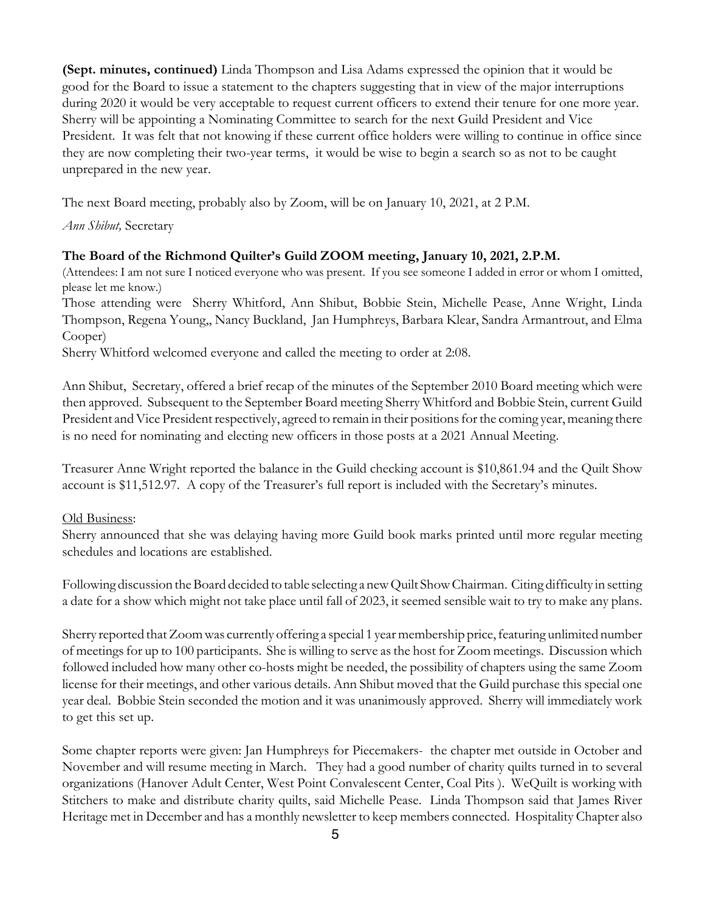**(Sept. minutes, continued)** Linda Thompson and Lisa Adams expressed the opinion that it would be good for the Board to issue a statement to the chapters suggesting that in view of the major interruptions during 2020 it would be very acceptable to request current officers to extend their tenure for one more year. Sherry will be appointing a Nominating Committee to search for the next Guild President and Vice President. It was felt that not knowing if these current office holders were willing to continue in office since they are now completing their two-year terms, it would be wise to begin a search so as not to be caught unprepared in the new year.

The next Board meeting, probably also by Zoom, will be on January 10, 2021, at 2 P.M.

*Ann Shibut,* Secretary

#### **The Board of the Richmond Quilter's Guild ZOOM meeting, January 10, 2021, 2.P.M.**

(Attendees: I am not sure I noticed everyone who was present. If you see someone I added in error or whom I omitted, please let me know.)

Those attending were Sherry Whitford, Ann Shibut, Bobbie Stein, Michelle Pease, Anne Wright, Linda Thompson, Regena Young,, Nancy Buckland, Jan Humphreys, Barbara Klear, Sandra Armantrout, and Elma Cooper)

Sherry Whitford welcomed everyone and called the meeting to order at 2:08.

Ann Shibut, Secretary, offered a brief recap of the minutes of the September 2010 Board meeting which were then approved. Subsequent to the September Board meeting Sherry Whitford and Bobbie Stein, current Guild President and Vice President respectively, agreed to remain in their positions for the coming year, meaning there is no need for nominating and electing new officers in those posts at a 2021 Annual Meeting.

Treasurer Anne Wright reported the balance in the Guild checking account is \$10,861.94 and the Quilt Show account is \$11,512.97. A copy of the Treasurer's full report is included with the Secretary's minutes.

#### Old Business:

Sherry announced that she was delaying having more Guild book marks printed until more regular meeting schedules and locations are established.

Following discussion theBoard decided to table selecting a newQuilt ShowChairman. Citing difficulty in setting a date for a show which might not take place until fall of 2023, it seemed sensible wait to try to make any plans.

Sherry reported that Zoom was currently offering a special 1 year membership price, featuring unlimited number of meetings for up to 100 participants. She is willing to serve as the host for Zoom meetings. Discussion which followed included how many other co-hosts might be needed, the possibility of chapters using the same Zoom license for their meetings, and other various details. Ann Shibut moved that the Guild purchase this special one year deal. Bobbie Stein seconded the motion and it was unanimously approved. Sherry will immediately work to get this set up.

Some chapter reports were given: Jan Humphreys for Piecemakers- the chapter met outside in October and November and will resume meeting in March. They had a good number of charity quilts turned in to several organizations (Hanover Adult Center, West Point Convalescent Center, Coal Pits ). WeQuilt is working with Stitchers to make and distribute charity quilts, said Michelle Pease. Linda Thompson said that James River Heritage met in December and has a monthly newsletter to keep members connected. Hospitality Chapter also